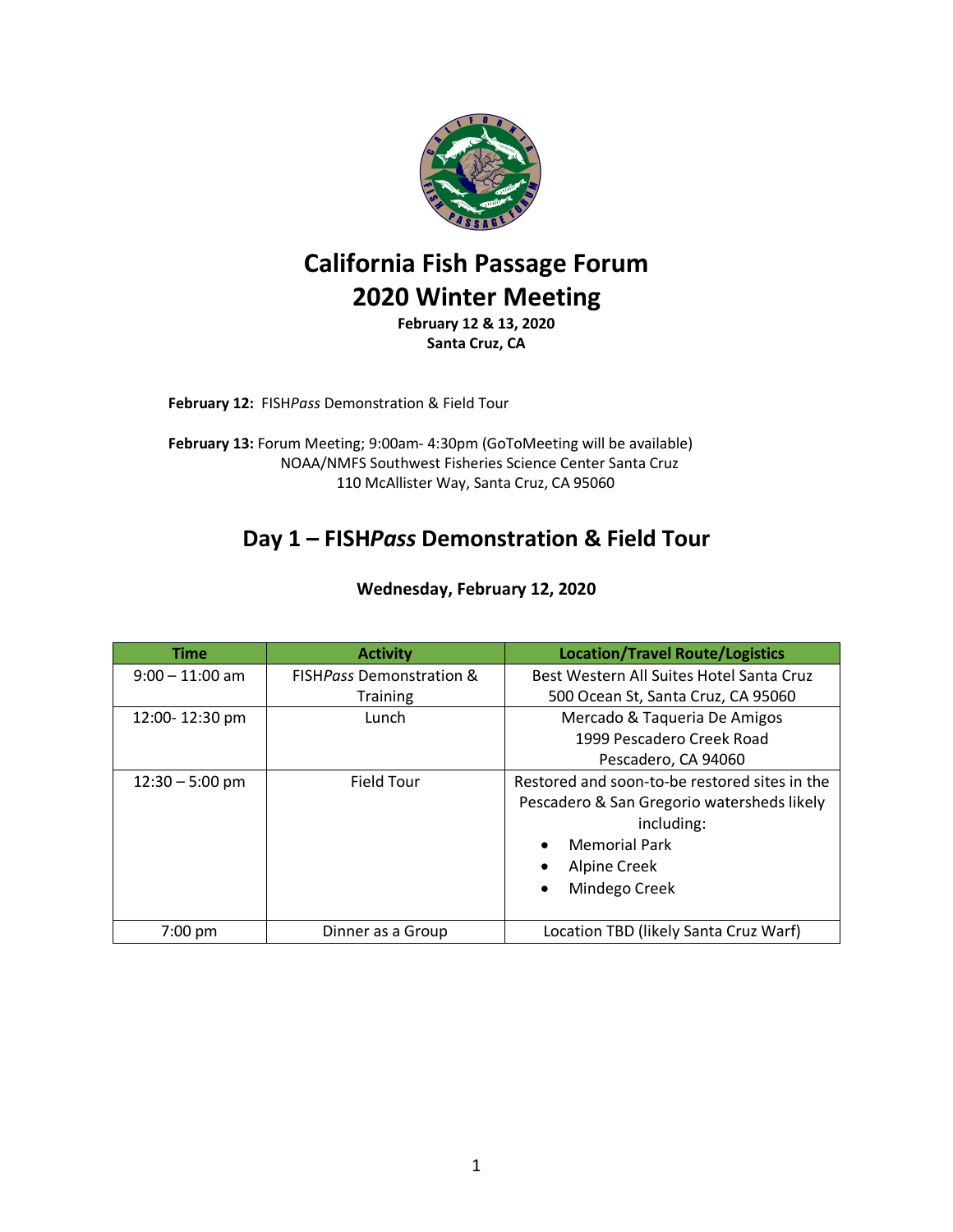

# **California Fish Passage Forum 2020 Winter Meeting**

**February 12 & 13, 2020 Santa Cruz, CA**

**February 12:** FISH*Pass* Demonstration & Field Tour

**February 13:** Forum Meeting; 9:00am- 4:30pm (GoToMeeting will be available) NOAA/NMFS Southwest Fisheries Science Center Santa Cruz 110 McAllister Way, Santa Cruz, CA 95060

### **Day 1 – FISH***Pass* **Demonstration & Field Tour**

| <b>Time</b>       | <b>Activity</b>                     | <b>Location/Travel Route/Logistics</b>                                                      |  |
|-------------------|-------------------------------------|---------------------------------------------------------------------------------------------|--|
| $9:00 - 11:00$ am | <b>FISHPass Demonstration &amp;</b> | Best Western All Suites Hotel Santa Cruz                                                    |  |
|                   | <b>Training</b>                     | 500 Ocean St, Santa Cruz, CA 95060                                                          |  |
| 12:00-12:30 pm    | Lunch                               | Mercado & Taqueria De Amigos                                                                |  |
|                   |                                     | 1999 Pescadero Creek Road                                                                   |  |
|                   |                                     | Pescadero, CA 94060                                                                         |  |
| $12:30 - 5:00$ pm | <b>Field Tour</b>                   | Restored and soon-to-be restored sites in the<br>Pescadero & San Gregorio watersheds likely |  |
|                   |                                     |                                                                                             |  |
|                   |                                     | including:                                                                                  |  |
|                   |                                     | <b>Memorial Park</b><br>$\bullet$                                                           |  |
|                   |                                     | Alpine Creek<br>$\bullet$                                                                   |  |
|                   |                                     | Mindego Creek<br>$\bullet$                                                                  |  |
|                   |                                     |                                                                                             |  |
| $7:00$ pm         | Dinner as a Group                   | Location TBD (likely Santa Cruz Warf)                                                       |  |

**Wednesday, February 12, 2020**